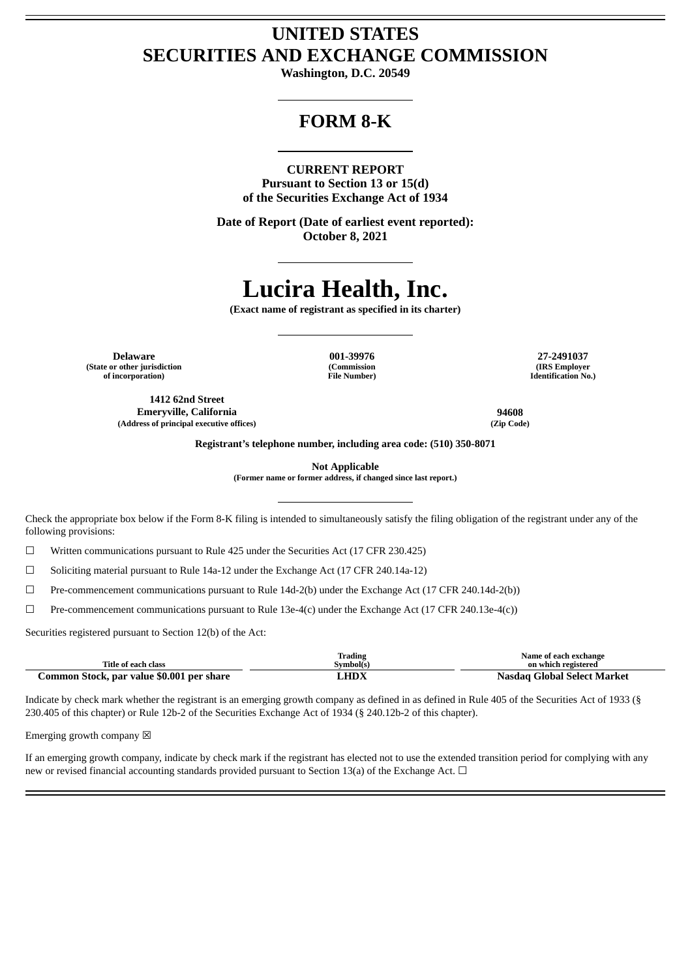## **UNITED STATES SECURITIES AND EXCHANGE COMMISSION**

**Washington, D.C. 20549**

## **FORM 8-K**

#### **CURRENT REPORT**

**Pursuant to Section 13 or 15(d) of the Securities Exchange Act of 1934**

**Date of Report (Date of earliest event reported): October 8, 2021**

# **Lucira Health, Inc.**

**(Exact name of registrant as specified in its charter)**

**Delaware 001-39976 27-2491037 (State or other jurisdiction of incorporation)**

**(Commission File Number)**

**(IRS Employer Identification No.)**

**1412 62nd Street Emeryville, California 94608 (Address of principal executive offices) (Zip Code)**

**Registrant's telephone number, including area code: (510) 350-8071**

**Not Applicable**

**(Former name or former address, if changed since last report.)**

Check the appropriate box below if the Form 8-K filing is intended to simultaneously satisfy the filing obligation of the registrant under any of the following provisions:

 $\Box$  Written communications pursuant to Rule 425 under the Securities Act (17 CFR 230.425)

 $\Box$  Soliciting material pursuant to Rule 14a-12 under the Exchange Act (17 CFR 240.14a-12)

☐ Pre-commencement communications pursuant to Rule 14d-2(b) under the Exchange Act (17 CFR 240.14d-2(b))

☐ Pre-commencement communications pursuant to Rule 13e-4(c) under the Exchange Act (17 CFR 240.13e-4(c))

Securities registered pursuant to Section 12(b) of the Act:

|                                           | Trading     | Name of each exchange       |
|-------------------------------------------|-------------|-----------------------------|
| Title of each class                       | Symbol(s)   | on which registered         |
| Common Stock, par value \$0.001 per share | <b>LHDX</b> | Nasdag Global Select Market |

Indicate by check mark whether the registrant is an emerging growth company as defined in as defined in Rule 405 of the Securities Act of 1933 (§ 230.405 of this chapter) or Rule 12b-2 of the Securities Exchange Act of 1934 (§ 240.12b-2 of this chapter).

Emerging growth company  $\boxtimes$ 

If an emerging growth company, indicate by check mark if the registrant has elected not to use the extended transition period for complying with any new or revised financial accounting standards provided pursuant to Section 13(a) of the Exchange Act.  $\Box$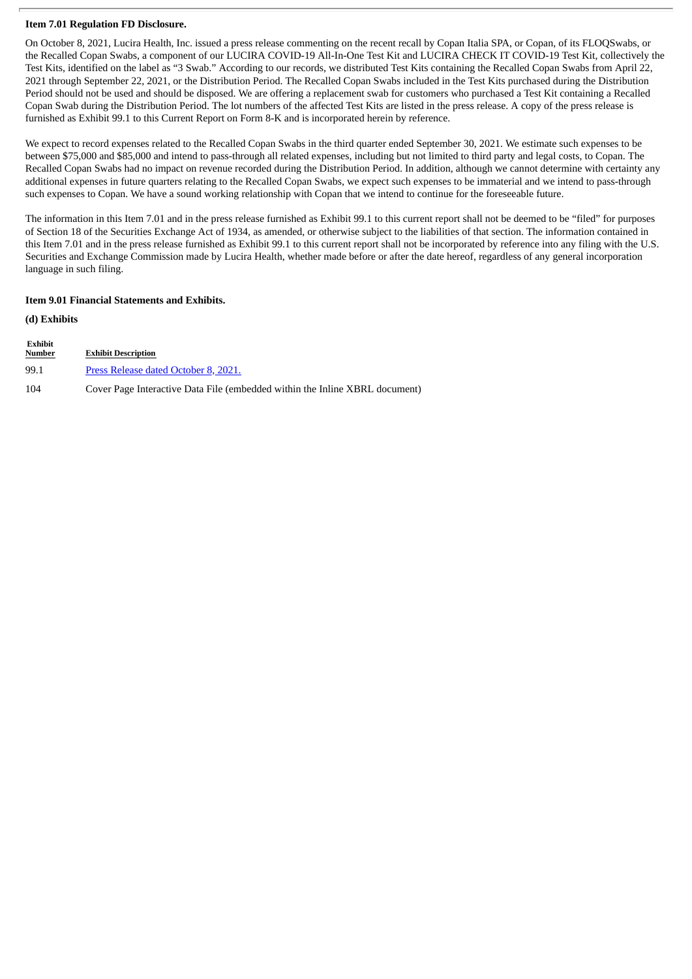#### **Item 7.01 Regulation FD Disclosure.**

On October 8, 2021, Lucira Health, Inc. issued a press release commenting on the recent recall by Copan Italia SPA, or Copan, of its FLOQSwabs, or the Recalled Copan Swabs, a component of our LUCIRA COVID-19 All-In-One Test Kit and LUCIRA CHECK IT COVID-19 Test Kit, collectively the Test Kits, identified on the label as "3 Swab." According to our records, we distributed Test Kits containing the Recalled Copan Swabs from April 22, 2021 through September 22, 2021, or the Distribution Period. The Recalled Copan Swabs included in the Test Kits purchased during the Distribution Period should not be used and should be disposed. We are offering a replacement swab for customers who purchased a Test Kit containing a Recalled Copan Swab during the Distribution Period. The lot numbers of the affected Test Kits are listed in the press release. A copy of the press release is furnished as Exhibit 99.1 to this Current Report on Form 8-K and is incorporated herein by reference.

We expect to record expenses related to the Recalled Copan Swabs in the third quarter ended September 30, 2021. We estimate such expenses to be between \$75,000 and \$85,000 and intend to pass-through all related expenses, including but not limited to third party and legal costs, to Copan. The Recalled Copan Swabs had no impact on revenue recorded during the Distribution Period. In addition, although we cannot determine with certainty any additional expenses in future quarters relating to the Recalled Copan Swabs, we expect such expenses to be immaterial and we intend to pass-through such expenses to Copan. We have a sound working relationship with Copan that we intend to continue for the foreseeable future.

The information in this Item 7.01 and in the press release furnished as Exhibit 99.1 to this current report shall not be deemed to be "filed" for purposes of Section 18 of the Securities Exchange Act of 1934, as amended, or otherwise subject to the liabilities of that section. The information contained in this Item 7.01 and in the press release furnished as Exhibit 99.1 to this current report shall not be incorporated by reference into any filing with the U.S. Securities and Exchange Commission made by Lucira Health, whether made before or after the date hereof, regardless of any general incorporation language in such filing.

#### **Item 9.01 Financial Statements and Exhibits.**

**(d) Exhibits**

| Exhibit<br>Number | <b>Exhibit Description</b>                                                  |
|-------------------|-----------------------------------------------------------------------------|
| 99.1              | Press Release dated October 8, 2021.                                        |
| 104               | Cover Page Interactive Data File (embedded within the Inline XBRL document) |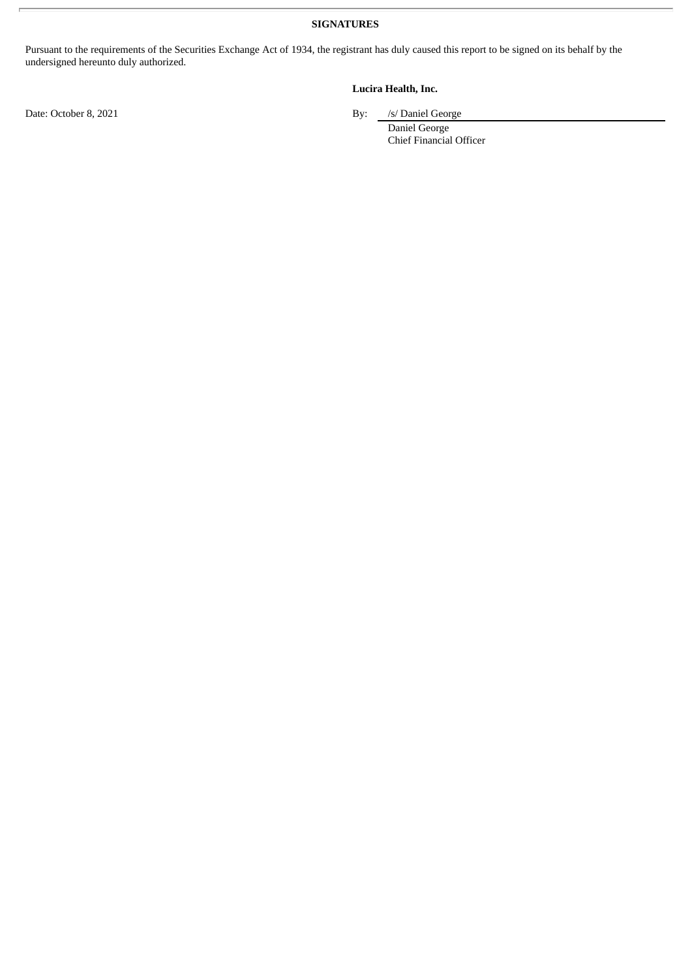**SIGNATURES**

Pursuant to the requirements of the Securities Exchange Act of 1934, the registrant has duly caused this report to be signed on its behalf by the undersigned hereunto duly authorized.

### **Lucira Health, Inc.**

Date: October 8, 2021 By: /s/ Daniel George

Daniel George Chief Financial Officer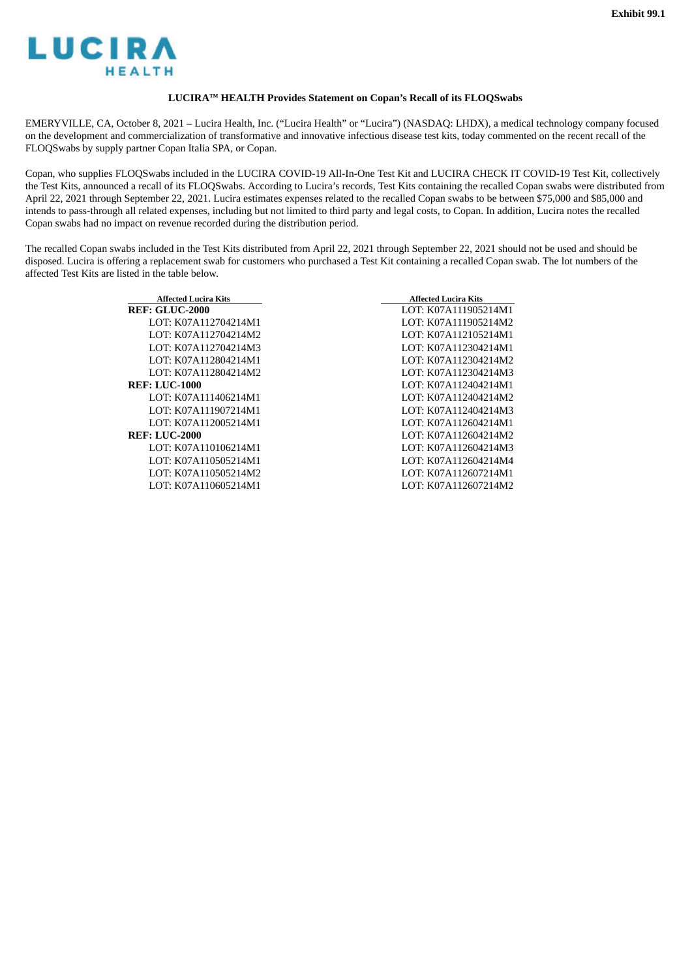<span id="page-3-0"></span>

#### **LUCIRA™ HEALTH Provides Statement on Copan's Recall of its FLOQSwabs**

EMERYVILLE, CA, October 8, 2021 – Lucira Health, Inc. ("Lucira Health" or "Lucira") (NASDAQ: LHDX), a medical technology company focused on the development and commercialization of transformative and innovative infectious disease test kits, today commented on the recent recall of the FLOQSwabs by supply partner Copan Italia SPA, or Copan.

Copan, who supplies FLOQSwabs included in the LUCIRA COVID-19 All-In-One Test Kit and LUCIRA CHECK IT COVID-19 Test Kit, collectively the Test Kits, announced a recall of its FLOQSwabs. According to Lucira's records, Test Kits containing the recalled Copan swabs were distributed from April 22, 2021 through September 22, 2021. Lucira estimates expenses related to the recalled Copan swabs to be between \$75,000 and \$85,000 and intends to pass-through all related expenses, including but not limited to third party and legal costs, to Copan. In addition, Lucira notes the recalled Copan swabs had no impact on revenue recorded during the distribution period.

The recalled Copan swabs included in the Test Kits distributed from April 22, 2021 through September 22, 2021 should not be used and should be disposed. Lucira is offering a replacement swab for customers who purchased a Test Kit containing a recalled Copan swab. The lot numbers of the affected Test Kits are listed in the table below.

| <b>Affected Lucira Kits</b> | <b>Affected Lucira Kits</b> |
|-----------------------------|-----------------------------|
| <b>REF: GLUC-2000</b>       | LOT: K07A111905214M1        |
| LOT: K07A112704214M1        | LOT: K07A111905214M2        |
| LOT: K07A112704214M2        | LOT: K07A112105214M1        |
| LOT: K07A112704214M3        | LOT: K07A112304214M1        |
| LOT: K07A112804214M1        | LOT: K07A112304214M2        |
| LOT: K07A112804214M2        | LOT: K07A112304214M3        |
| <b>REF: LUC-1000</b>        | LOT: K07A112404214M1        |
| LOT: K07A111406214M1        | LOT: K07A112404214M2        |
| LOT: K07A111907214M1        | LOT: K07A112404214M3        |
| LOT: K07A112005214M1        | LOT: K07A112604214M1        |
| <b>REF: LUC-2000</b>        | LOT: K07A112604214M2        |
| LOT: K07A110106214M1        | LOT: K07A112604214M3        |
| LOT: K07A110505214M1        | LOT: K07A112604214M4        |
| LOT: K07A110505214M2        | LOT: K07A112607214M1        |
| LOT: K07A110605214M1        | LOT: K07A112607214M2        |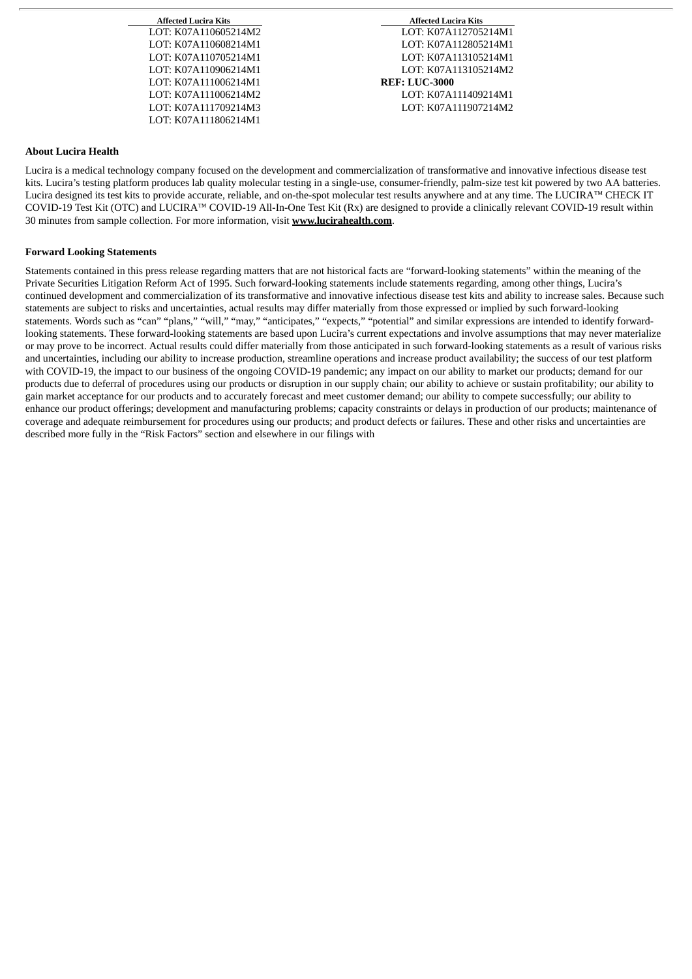LOT: K07A111006214M1 **REF: LUC-3000** LOT: K07A111806214M1

**Affected Lucira Kits Affected Lucira Kits** LOT: K07A110605214M2 LOT: K07A112705214M1 LOT: K07A110608214M1 LOT: K07A112805214M1 LOT: K07A110705214M1 LOT: K07A113105214M1 LOT: K07A113105214M2 LOT: K07A111006214M2 LOT: K07A111409214M1 LOT: K07A111709214M3 LOT: K07A111907214M2

#### **About Lucira Health**

Lucira is a medical technology company focused on the development and commercialization of transformative and innovative infectious disease test kits. Lucira's testing platform produces lab quality molecular testing in a single-use, consumer-friendly, palm-size test kit powered by two AA batteries. Lucira designed its test kits to provide accurate, reliable, and on-the-spot molecular test results anywhere and at any time. The LUCIRA™ CHECK IT COVID-19 Test Kit (OTC) and LUCIRA™ COVID-19 All-In-One Test Kit (Rx) are designed to provide a clinically relevant COVID-19 result within 30 minutes from sample collection. For more information, visit **www.lucirahealth.com**.

#### **Forward Looking Statements**

Statements contained in this press release regarding matters that are not historical facts are "forward-looking statements" within the meaning of the Private Securities Litigation Reform Act of 1995. Such forward-looking statements include statements regarding, among other things, Lucira's continued development and commercialization of its transformative and innovative infectious disease test kits and ability to increase sales. Because such statements are subject to risks and uncertainties, actual results may differ materially from those expressed or implied by such forward-looking statements. Words such as "can" "plans," "will," "may," "anticipates," "expects," "potential" and similar expressions are intended to identify forwardlooking statements. These forward-looking statements are based upon Lucira's current expectations and involve assumptions that may never materialize or may prove to be incorrect. Actual results could differ materially from those anticipated in such forward-looking statements as a result of various risks and uncertainties, including our ability to increase production, streamline operations and increase product availability; the success of our test platform with COVID-19, the impact to our business of the ongoing COVID-19 pandemic; any impact on our ability to market our products; demand for our products due to deferral of procedures using our products or disruption in our supply chain; our ability to achieve or sustain profitability; our ability to gain market acceptance for our products and to accurately forecast and meet customer demand; our ability to compete successfully; our ability to enhance our product offerings; development and manufacturing problems; capacity constraints or delays in production of our products; maintenance of coverage and adequate reimbursement for procedures using our products; and product defects or failures. These and other risks and uncertainties are described more fully in the "Risk Factors" section and elsewhere in our filings with